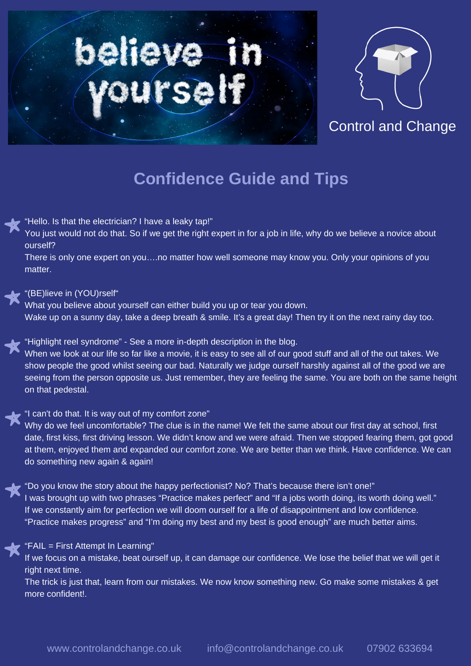



Control and Change

# **Confidence Guide and Tips**

"Hello. Is that the electrician? I have a leaky tap!"

You just would not do that. So if we get the right expert in for a job in life, why do we believe a novice about ourself?

There is only one expert on you….no matter how well someone may know you. Only your opinions of you matter.

#### "(BE)lieve in (YOU)rself"

What you believe about yourself can either build you up or tear you down. Wake up on a sunny day, take a deep breath & smile. It's a great day! Then try it on the next rainy day too.

# "Highlight reel syndrome" - See a more in-depth description in the blog.

When we look at our life so far like a movie, it is easy to see all of our good stuff and all of the out takes. We show people the good whilst seeing our bad. Naturally we judge ourself harshly against all of the good we are seeing from the person opposite us. Just remember, they are feeling the same. You are both on the same height on that pedestal.

# "I can't do that. It is way out of my comfort zone"

Why do we feel uncomfortable? The clue is in the name! We felt the same about our first day at school, first date, first kiss, first driving lesson. We didn't know and we were afraid. Then we stopped fearing them, got good at them, enjoyed them and expanded our comfort zone. We are better than we think. Have confidence. We can do something new again & again!

"Do you know the story about the happy perfectionist? No? That's because there isn't one!" I was brought up with two phrases "Practice makes perfect" and "If a jobs worth doing, its worth doing well." If we constantly aim for perfection we will doom ourself for a life of disappointment and low confidence. "Practice makes progress" and "I'm doing my best and my best is good enough" are much better aims.

#### "FAIL = First Attempt In Learning"

If we focus on a mistake, beat ourself up, it can damage our confidence. We lose the belief that we will get it right next time.

The trick is just that, learn from our mistakes. We now know something new. Go make some mistakes & get more confident!.